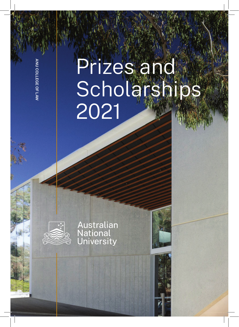# Prizes and Scholarships 2021

Australian<br>National<br>University



ANU COLLEGE OF LAW**IND COLLEGE OF LAW**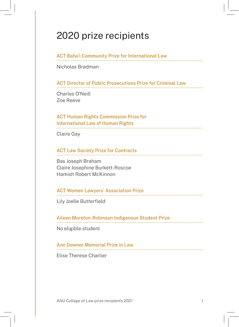ACT Baha'i Community Prize for International Law

Nicholas Bradman

ACT Director of Public Prosecutions Prize for Criminal Law

Charles O'Neill Zoe Reeve

ACT Human Rights Commission Prize for International Law of Human Rights

Claire Gay

ACT Law Society Prize for Contracts

Bas Joseph Braham Claire Josephine Burkett-Roscoe Hamish Robert McKinnon

ACT Women Lawyers' Association Prize

Lily Joelle Butterfield

Aileen Moreton-Robinson Indigenous Student Prize

No eligible student

Ann Downer Memorial Prize in Law

Elise Therese Charlier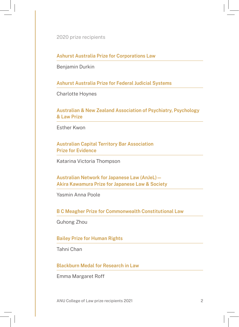Ashurst Australia Prize for Corporations Law

Benjamin Durkin

Ashurst Australia Prize for Federal Judicial Systems

Charlotte Hoynes

Australian & New Zealand Association of Psychiatry, Psychology & Law Prize

Esther Kwon

Australian Capital Territory Bar Association Prize for Evidence

Katarina Victoria Thompson

Australian Network for Japanese Law (AnJeL) — Akira Kawamura Prize for Japanese Law & Society

Yasmin Anna Poole

B C Meagher Prize for Commonwealth Constitutional Law

Guhong Zhou

Bailey Prize for Human Rights

Tahni Chan

Blackburn Medal for Research in Law

Emma Margaret Roff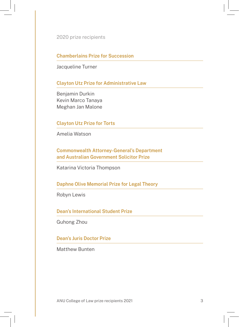Chamberlains Prize for Succession

Jacqueline Turner

Clayton Utz Prize for Administrative Law

Benjamin Durkin Kevin Marco Tanaya Meghan Jan Malone

Clayton Utz Prize for Torts

Amelia Watson

Commonwealth Attorney-General's Department and Australian Government Solicitor Prize

Katarina Victoria Thompson

Daphne Olive Memorial Prize for Legal Theory

Robyn Lewis

Dean's International Student Prize

Guhong Zhou

Dean's Juris Doctor Prize

Matthew Bunten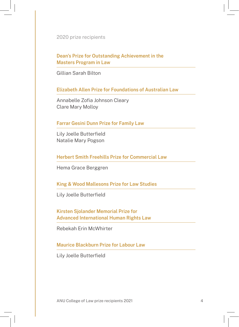Dean's Prize for Outstanding Achievement in the Masters Program in Law

Gillian Sarah Bilton

Elizabeth Allen Prize for Foundations of Australian Law

Annabelle Zofia Johnson Cleary Clare Mary Molloy

### Farrar Gesini Dunn Prize for Family Law

Lily Joelle Butterfield Natalie Mary Pogson

Herbert Smith Freehills Prize for Commercial Law

Hema Grace Berggren

King & Wood Mallesons Prize for Law Studies

Lily Joelle Butterfield

Kirsten Sjolander Memorial Prize for Advanced International Human Rights Law

Rebekah Erin McWhirter

Maurice Blackburn Prize for Labour Law

Lily Joelle Butterfield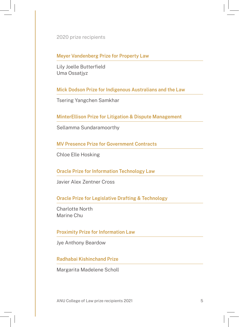Meyer Vandenberg Prize for Property Law

Lily Joelle Butterfield Uma Ossatjyz

Mick Dodson Prize for Indigenous Australians and the Law

Tsering Yangchen Samkhar

MinterEllison Prize for Litigation & Dispute Management

Sellamma Sundaramoorthy

MV Presence Prize for Government Contracts

Chloe Elle Hosking

Oracle Prize for Information Technology Law

Javier Alex Zentner Cross

Oracle Prize for Legislative Drafting & Technology

Charlotte North Marine Chu

Proximity Prize for Information Law

Jye Anthony Beardow

Radhabai Kishinchand Prize

Margarita Madelene Scholl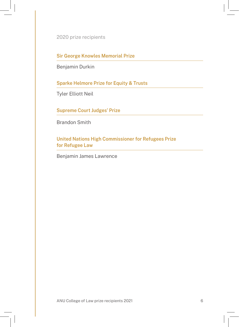Sir George Knowles Memorial Prize

Benjamin Durkin

Sparke Helmore Prize for Equity & Trusts

Tyler Elliott Neil

Supreme Court Judges' Prize

Brandon Smith

United Nations High Commissioner for Refugees Prize for Refugee Law

Benjamin James Lawrence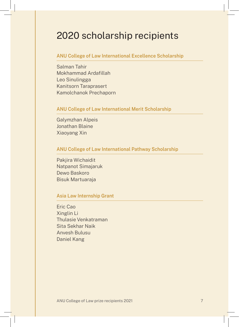### 2020 scholarship recipients

### ANU College of Law International Excellence Scholarship

Salman Tahir Mokhammad Ardafillah Leo Sinulingga Kanitsorn Taraprasert Kamolchanok Prechaporn

#### ANU College of Law International Merit Scholarship

Galymzhan Alpeis Jonathan Blaine Xiaoyang Xin

### ANU College of Law International Pathway Scholarship

Pakjira Wichaidit Natpanot Simajaruk Dewo Baskoro Bisuk Martuaraja

### Asia Law Internship Grant

Eric Cao Xinglin Li Thulasie Venkatraman Sita Sekhar Naik Anvesh Bulusu Daniel Kang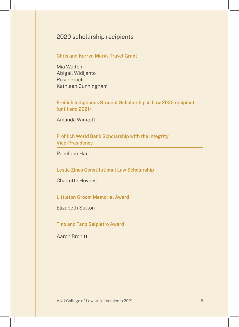### 2020 scholarship recipients

### Chris and Kerryn Marks Travel Grant

Mia Walton Abigail Widijanto Rosie Proctor Kathleen Cunningham

Freilich Indigenous Student Scholarship in Law 2020 recipient (until end 2021)

Amanda Wingett

Frohlich World Bank Scholarship with the Integrity Vice-Presidency

Penelope Han

Leslie Zines Constitutional Law Scholarship

Charlotte Hoynes

Littleton Groom Memorial Award

Elizabeth Sutton

Tino and Tano Salpietro Award

Aaron Bronitt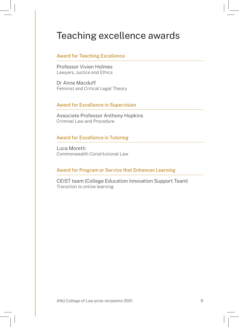### Teaching excellence awards

#### Award for Teaching Excellence

Professor Vivien Holmes Lawyers, Justice and Ethics

Dr Anne Macduff Feminist and Critical Legal Theory

#### Award for Excellence in Supervision

Associate Professor Anthony Hopkins Criminal Law and Procedure

### Award for Excellence in Tutoring

Luca Moretti Commonwealth Constitutional Law

### Award for Program or Service that Enhances Learning

CEIST team (College Education Innovation Support Team) Transition to online learning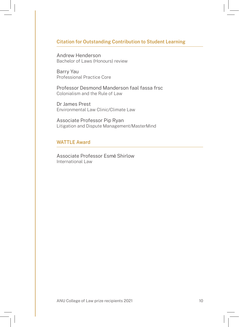### Citation for Outstanding Contribution to Student Learning

Andrew Henderson Bachelor of Laws (Honours) review

Barry Yau Professional Practice Core

Professor Desmond Manderson faal fassa frsc Colonialism and the Rule of Law

Dr James Prest Environmental Law Clinic/Climate Law

Associate Professor Pip Ryan Litigation and Dispute Management/MasterMind

### WATTLE Award

Associate Professor Esmé Shirlow International Law